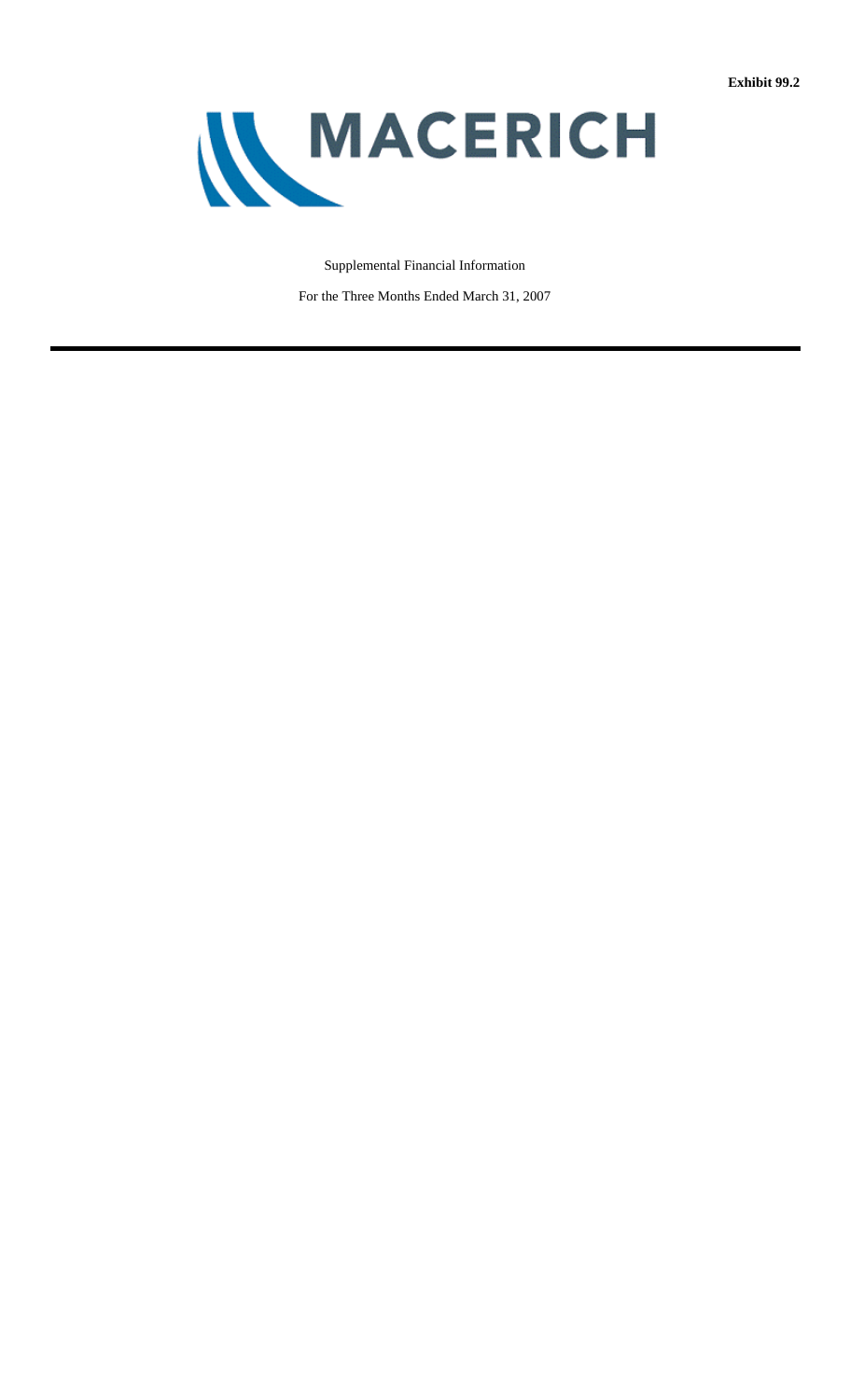

## Supplemental Financial Information

For the Three Months Ended March 31, 2007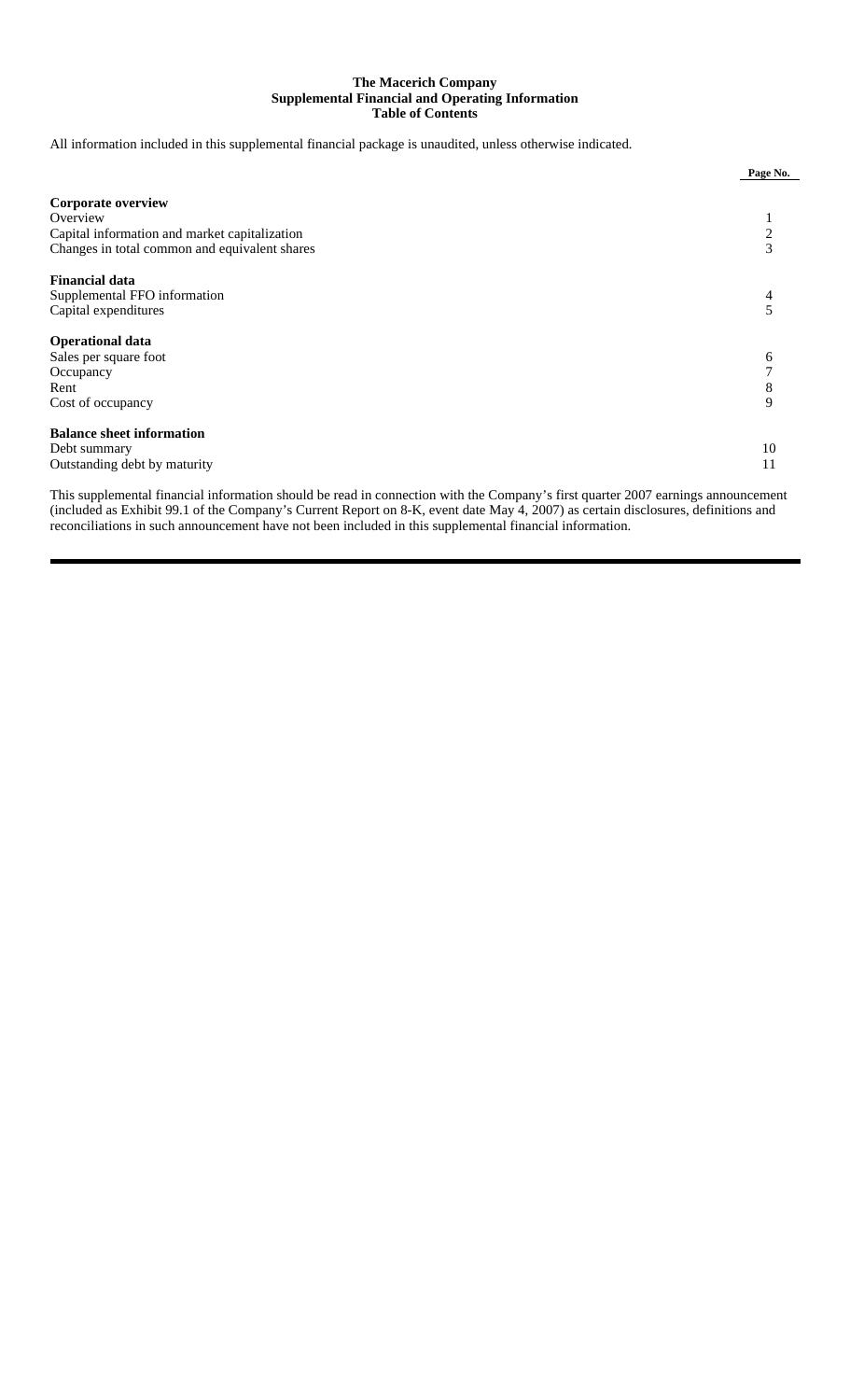## **The Macerich Company Supplemental Financial and Operating Information Table of Contents**

All information included in this supplemental financial package is unaudited, unless otherwise indicated.

|                                                                                                                                         | Page No.    |
|-----------------------------------------------------------------------------------------------------------------------------------------|-------------|
| <b>Corporate overview</b><br>Overview<br>Capital information and market capitalization<br>Changes in total common and equivalent shares | 2<br>3      |
| <b>Financial data</b><br>Supplemental FFO information<br>Capital expenditures                                                           | 4           |
| <b>Operational data</b><br>Sales per square foot<br>Occupancy<br>Rent<br>Cost of occupancy                                              | 6<br>8<br>9 |
| <b>Balance sheet information</b><br>Debt summary<br>Outstanding debt by maturity                                                        | 10<br>11    |

This supplemental financial information should be read in connection with the Company's first quarter 2007 earnings announcement (included as Exhibit 99.1 of the Company's Current Report on 8-K, event date May 4, 2007) as certain disclosures, definitions and reconciliations in such announcement have not been included in this supplemental financial information.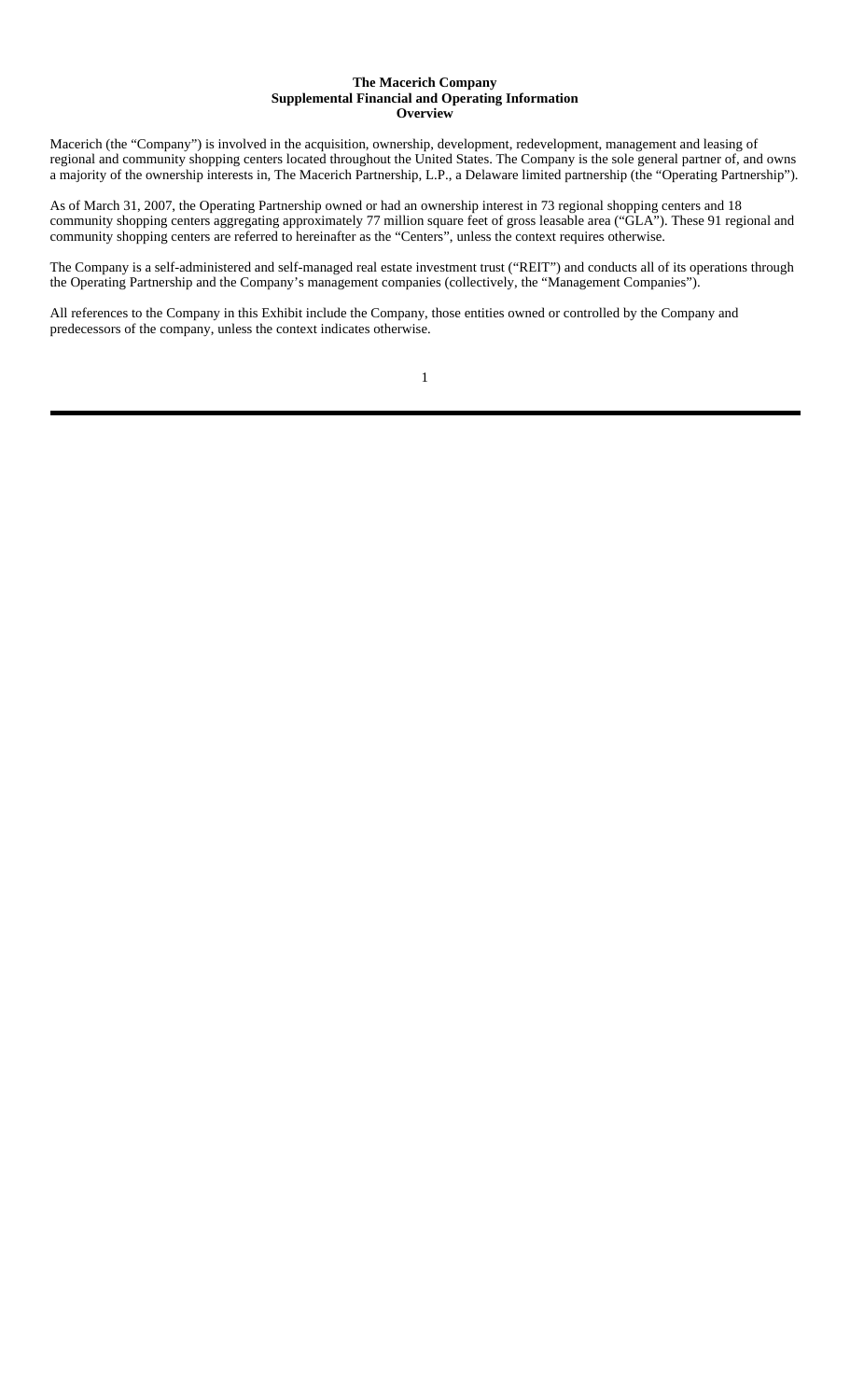#### **The Macerich Company Supplemental Financial and Operating Information Overview**

Macerich (the "Company") is involved in the acquisition, ownership, development, redevelopment, management and leasing of regional and community shopping centers located throughout the United States. The Company is the sole general partner of, and owns a majority of the ownership interests in, The Macerich Partnership, L.P., a Delaware limited partnership (the "Operating Partnership").

As of March 31, 2007, the Operating Partnership owned or had an ownership interest in 73 regional shopping centers and 18 community shopping centers aggregating approximately 77 million square feet of gross leasable area ("GLA"). These 91 regional and community shopping centers are referred to hereinafter as the "Centers", unless the context requires otherwise.

The Company is a self-administered and self-managed real estate investment trust ("REIT") and conducts all of its operations through the Operating Partnership and the Company's management companies (collectively, the "Management Companies").

All references to the Company in this Exhibit include the Company, those entities owned or controlled by the Company and predecessors of the company, unless the context indicates otherwise.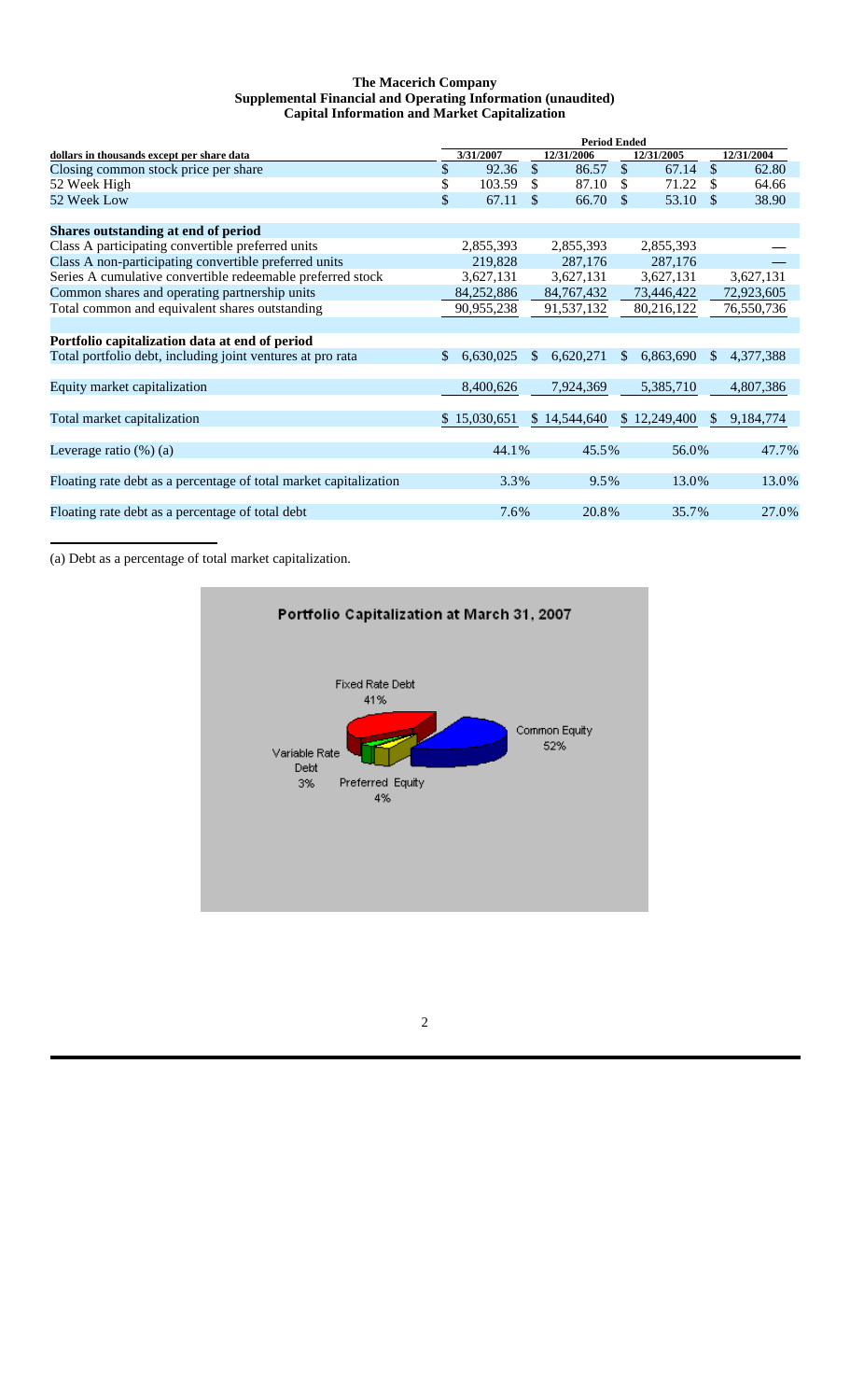## **The Macerich Company Supplemental Financial and Operating Information (unaudited) Capital Information and Market Capitalization**

|                                                                   | <b>Period Ended</b> |              |               |              |               |              |               |            |
|-------------------------------------------------------------------|---------------------|--------------|---------------|--------------|---------------|--------------|---------------|------------|
| dollars in thousands except per share data                        |                     | 3/31/2007    |               | 12/31/2006   |               | 12/31/2005   |               | 12/31/2004 |
| Closing common stock price per share                              | \$                  | 92.36        | $\mathcal{S}$ | 86.57        | <sup>\$</sup> | 67.14        | \$            | 62.80      |
| 52 Week High                                                      | \$                  | 103.59       | S.            | 87.10        | £.            | 71.22        |               | 64.66      |
| 52 Week Low                                                       | \$                  | 67.11        | \$            | 66.70        | \$.           | 53.10        | \$            | 38.90      |
| Shares outstanding at end of period                               |                     |              |               |              |               |              |               |            |
| Class A participating convertible preferred units                 |                     | 2,855,393    |               | 2,855,393    |               | 2,855,393    |               |            |
| Class A non-participating convertible preferred units             |                     | 219,828      |               | 287,176      |               | 287,176      |               |            |
| Series A cumulative convertible redeemable preferred stock        |                     | 3,627,131    |               | 3,627,131    |               | 3,627,131    |               | 3,627,131  |
| Common shares and operating partnership units                     |                     | 84,252,886   |               | 84, 767, 432 |               | 73,446,422   |               | 72,923,605 |
| Total common and equivalent shares outstanding                    |                     | 90,955,238   |               | 91,537,132   |               | 80,216,122   |               | 76,550,736 |
|                                                                   |                     |              |               |              |               |              |               |            |
| Portfolio capitalization data at end of period                    |                     |              |               |              |               |              |               |            |
| Total portfolio debt, including joint ventures at pro rata        | \$.                 | 6,630,025    | S.            | 6,620,271    | \$.           | 6,863,690    | $\mathcal{S}$ | 4,377,388  |
| Equity market capitalization                                      |                     | 8,400,626    |               | 7,924,369    |               | 5,385,710    |               | 4,807,386  |
| Total market capitalization                                       |                     | \$15,030,651 |               | \$14,544,640 |               | \$12,249,400 | S.            | 9,184,774  |
| Leverage ratio $(\%)$ (a)                                         |                     | 44.1%        |               | 45.5%        |               | 56.0%        |               | 47.7%      |
| Floating rate debt as a percentage of total market capitalization |                     | 3.3%         |               | 9.5%         |               | 13.0%        |               | 13.0%      |
| Floating rate debt as a percentage of total debt                  |                     | 7.6%         |               | 20.8%        |               | 35.7%        |               | 27.0%      |
|                                                                   |                     |              |               |              |               |              |               |            |

(a) Debt as a percentage of total market capitalization.

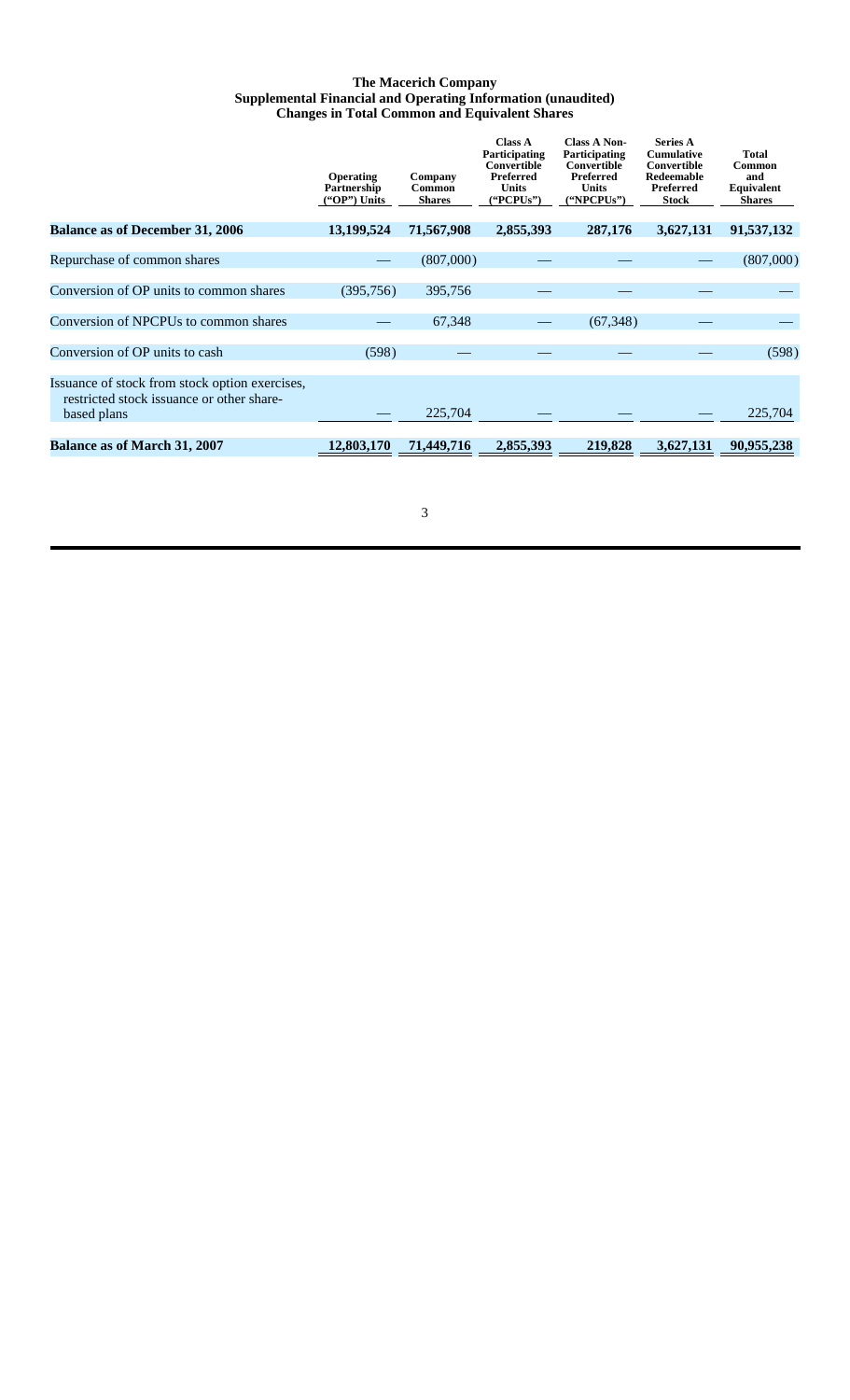## **The Macerich Company Supplemental Financial and Operating Information (unaudited) Changes in Total Common and Equivalent Shares**

|                                                                                                            | <b>Operating</b><br>Partnership<br>$("OP")$ Units | Company<br>Common<br><b>Shares</b> | <b>Class A</b><br>Participating<br>Convertible<br>Preferred<br><b>Units</b><br>("PCPUs") | <b>Class A Non-</b><br>Participating<br>Convertible<br>Preferred<br><b>Units</b><br>("NPCPUs") | <b>Series A</b><br><b>Cumulative</b><br>Convertible<br>Redeemable<br>Preferred<br><b>Stock</b> | <b>Total</b><br>Common<br>and<br>Equivalent<br><b>Shares</b> |
|------------------------------------------------------------------------------------------------------------|---------------------------------------------------|------------------------------------|------------------------------------------------------------------------------------------|------------------------------------------------------------------------------------------------|------------------------------------------------------------------------------------------------|--------------------------------------------------------------|
| <b>Balance as of December 31, 2006</b>                                                                     | 13,199,524                                        | 71,567,908                         | 2,855,393                                                                                | 287,176                                                                                        | 3,627,131                                                                                      | 91,537,132                                                   |
| Repurchase of common shares                                                                                |                                                   | (807,000)                          |                                                                                          |                                                                                                |                                                                                                | (807,000)                                                    |
| Conversion of OP units to common shares                                                                    | (395,756)                                         | 395,756                            |                                                                                          |                                                                                                |                                                                                                |                                                              |
| Conversion of NPCPUs to common shares                                                                      |                                                   | 67,348                             |                                                                                          | (67, 348)                                                                                      |                                                                                                |                                                              |
| Conversion of OP units to cash                                                                             | (598)                                             |                                    |                                                                                          |                                                                                                |                                                                                                | (598)                                                        |
| Issuance of stock from stock option exercises,<br>restricted stock issuance or other share-<br>based plans |                                                   | 225,704                            |                                                                                          |                                                                                                |                                                                                                | 225,704                                                      |
| <b>Balance as of March 31, 2007</b>                                                                        | 12,803,170                                        | 71,449,716                         | 2,855,393                                                                                | 219,828                                                                                        | 3,627,131                                                                                      | 90.955.238                                                   |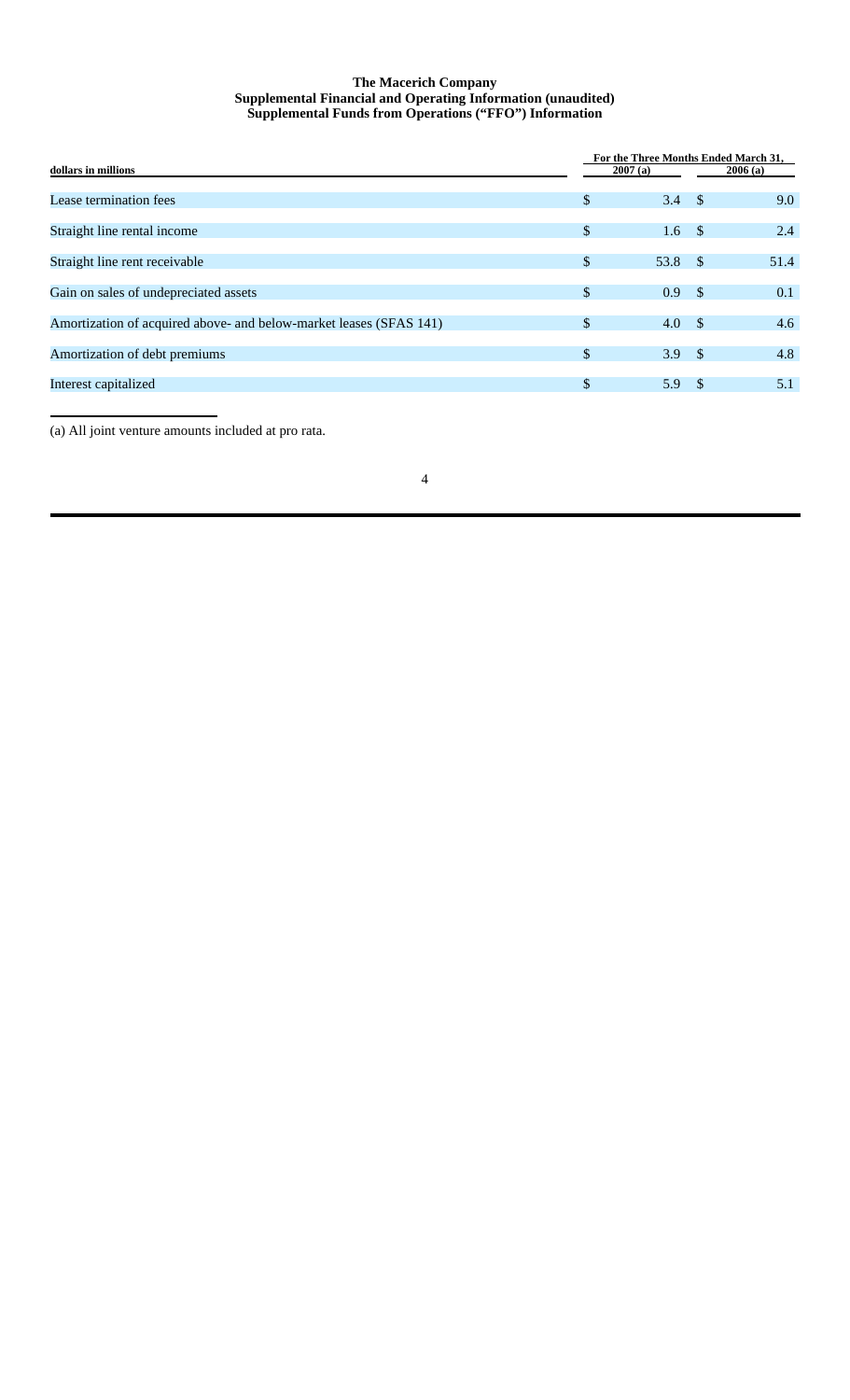## **The Macerich Company Supplemental Financial and Operating Information (unaudited) Supplemental Funds from Operations ("FFO") Information**

|                                                                    |               | For the Three Months Ended March 31, |               |         |  |  |  |  |  |
|--------------------------------------------------------------------|---------------|--------------------------------------|---------------|---------|--|--|--|--|--|
| dollars in millions                                                |               | 2007(a)                              |               | 2006(a) |  |  |  |  |  |
|                                                                    |               |                                      |               |         |  |  |  |  |  |
| Lease termination fees                                             | \$            | 3.4                                  | $\sim$ \$     | 9.0     |  |  |  |  |  |
|                                                                    |               |                                      |               |         |  |  |  |  |  |
| Straight line rental income                                        | \$            | 1.6                                  | <sup>\$</sup> | 2.4     |  |  |  |  |  |
|                                                                    |               |                                      |               |         |  |  |  |  |  |
| Straight line rent receivable                                      | $\mathbb{S}$  | 53.8                                 | $\sqrt{s}$    | 51.4    |  |  |  |  |  |
|                                                                    |               |                                      |               |         |  |  |  |  |  |
| Gain on sales of undepreciated assets                              | $\mathbb{S}$  | 0.9 <sup>°</sup>                     | <sup>\$</sup> | 0.1     |  |  |  |  |  |
|                                                                    |               |                                      |               |         |  |  |  |  |  |
| Amortization of acquired above- and below-market leases (SFAS 141) | $\mathbb{S}$  | 4.0                                  | $\sim$ \$     | 4.6     |  |  |  |  |  |
|                                                                    |               |                                      |               |         |  |  |  |  |  |
| Amortization of debt premiums                                      | $\mathcal{S}$ | 3.9 <sup>5</sup>                     |               | 4.8     |  |  |  |  |  |
|                                                                    |               |                                      |               |         |  |  |  |  |  |
| Interest capitalized                                               | $\mathcal{S}$ | 5.9 $\frac{1}{2}$                    |               | 5.1     |  |  |  |  |  |
|                                                                    |               |                                      |               |         |  |  |  |  |  |

(a) All joint venture amounts included at pro rata.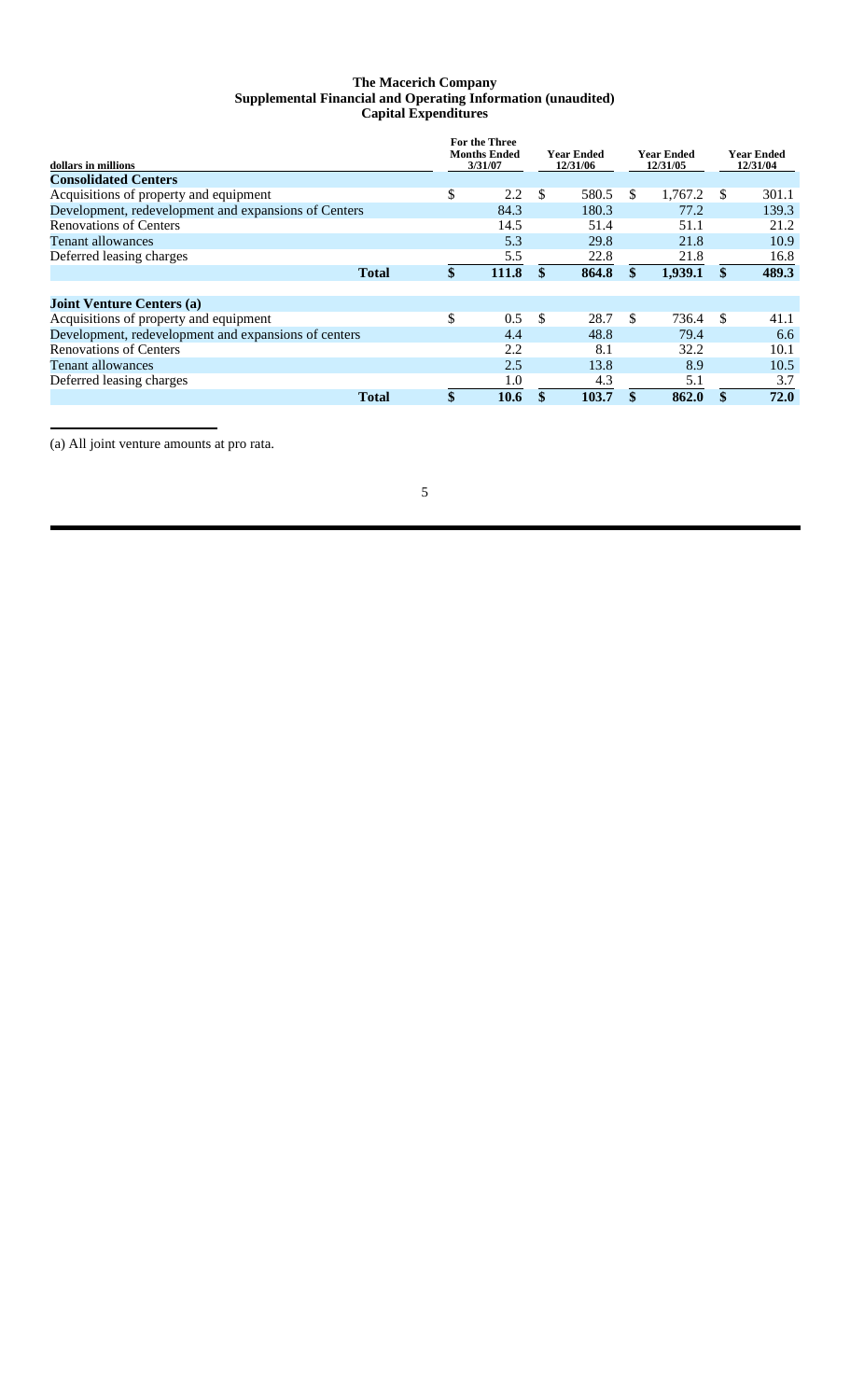## **The Macerich Company Supplemental Financial and Operating Information (unaudited) Capital Expenditures**

| dollars in millions                                  |              | For the Three<br><b>Months Ended</b><br>3/31/07 | Year Ended<br>12/31/06 |     | <b>Year Ended</b><br>12/31/05 |     | <b>Year Ended</b><br>12/31/04 |
|------------------------------------------------------|--------------|-------------------------------------------------|------------------------|-----|-------------------------------|-----|-------------------------------|
| <b>Consolidated Centers</b>                          |              |                                                 |                        |     |                               |     |                               |
| Acquisitions of property and equipment               |              | \$<br>2.2                                       | \$<br>580.5            | \$. | 1,767.2                       | \$. | 301.1                         |
| Development, redevelopment and expansions of Centers |              | 84.3                                            | 180.3                  |     | 77.2                          |     | 139.3                         |
| <b>Renovations of Centers</b>                        |              | 14.5                                            | 51.4                   |     | 51.1                          |     | 21.2                          |
| <b>Tenant allowances</b>                             |              | 5.3                                             | 29.8                   |     | 21.8                          |     | 10.9                          |
| Deferred leasing charges                             |              | 5.5                                             | 22.8                   |     | 21.8                          |     | 16.8                          |
|                                                      | <b>Total</b> | \$<br>111.8                                     | 864.8                  | \$  | 1,939.1                       | \$  | 489.3                         |
| <b>Joint Venture Centers (a)</b>                     |              |                                                 |                        |     |                               |     |                               |
| Acquisitions of property and equipment               |              | \$<br>0.5                                       | \$<br>28.7             | \$  | 736.4                         | \$. | 41.1                          |
| Development, redevelopment and expansions of centers |              | 4.4                                             | 48.8                   |     | 79.4                          |     | 6.6                           |
| <b>Renovations of Centers</b>                        |              | 2.2                                             | 8.1                    |     | 32.2                          |     | 10.1                          |
| <b>Tenant allowances</b>                             |              | 2.5                                             | 13.8                   |     | 8.9                           |     | 10.5                          |
| Deferred leasing charges                             |              | 1.0                                             | 4.3                    |     | 5.1                           |     | 3.7                           |
|                                                      | <b>Total</b> | \$<br>10.6                                      | \$<br>103.7            | \$  | 862.0                         | \$  | 72.0                          |

(a) All joint venture amounts at pro rata.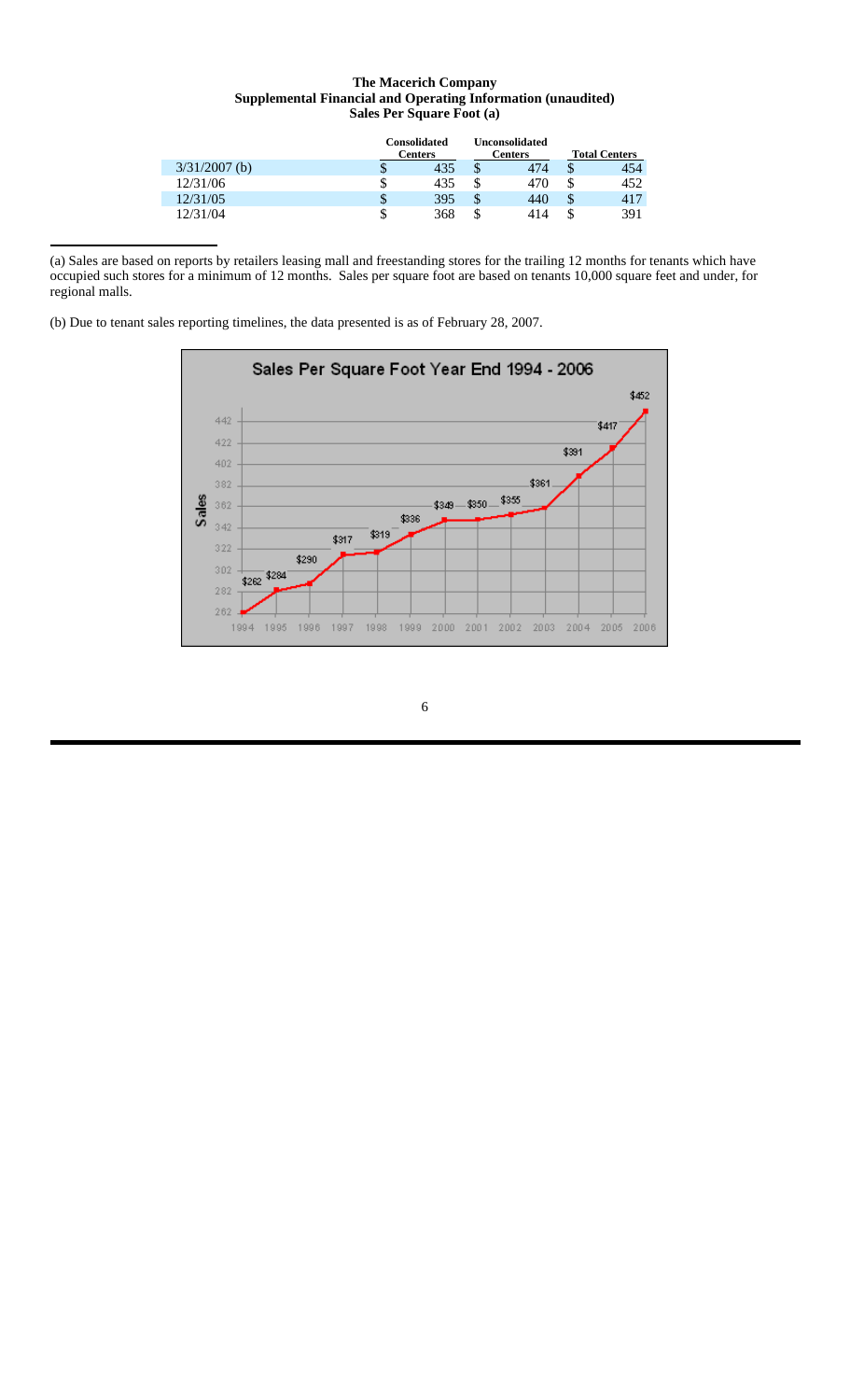## **The Macerich Company Supplemental Financial and Operating Information (unaudited) Sales Per Square Foot (a)**

|                 |     | <b>Consolidated</b><br>Unconsolidated<br><b>Centers</b><br><b>Centers</b> |    |     | <b>Total Centers</b> |     |
|-----------------|-----|---------------------------------------------------------------------------|----|-----|----------------------|-----|
| $3/31/2007$ (b) | J   | 435                                                                       | S  | 474 |                      | 454 |
| 12/31/06        | ۰D. | 435                                                                       | \$ | 470 | S                    | 452 |
| 12/31/05        | \$  | 395                                                                       | \$ | 440 | J                    | 417 |
| 12/31/04        | S   | 368                                                                       | \$ | 414 |                      | 391 |

(a) Sales are based on reports by retailers leasing mall and freestanding stores for the trailing 12 months for tenants which have occupied such stores for a minimum of 12 months. Sales per square foot are based on tenants 10,000 square feet and under, for regional malls.

(b) Due to tenant sales reporting timelines, the data presented is as of February 28, 2007.

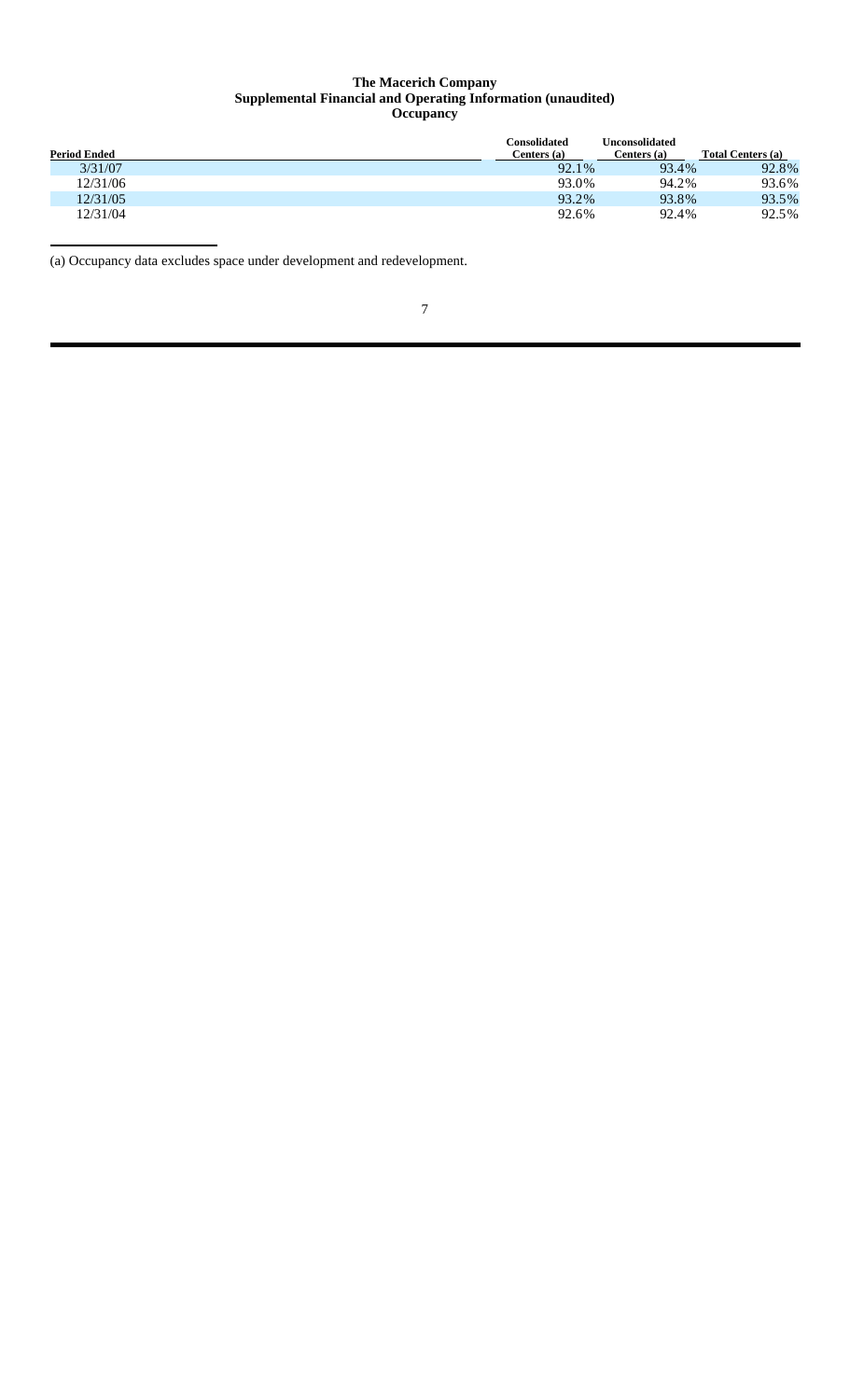#### **The Macerich Company Supplemental Financial and Operating Information (unaudited) Occupancy**

| <b>Period Ended</b> | Consolidated<br>Centers (a) | Unconsolidated<br>Centers (a) | Total Centers (a) |
|---------------------|-----------------------------|-------------------------------|-------------------|
| 3/31/07             | 92.1%                       | 93.4%                         | 92.8%             |
| 12/31/06            | 93.0%                       | 94.2%                         | 93.6%             |
| 12/31/05            | 93.2%                       | 93.8%                         | 93.5%             |
| 12/31/04            | 92.6%                       | 92.4%                         | 92.5%             |

(a) Occupancy data excludes space under development and redevelopment.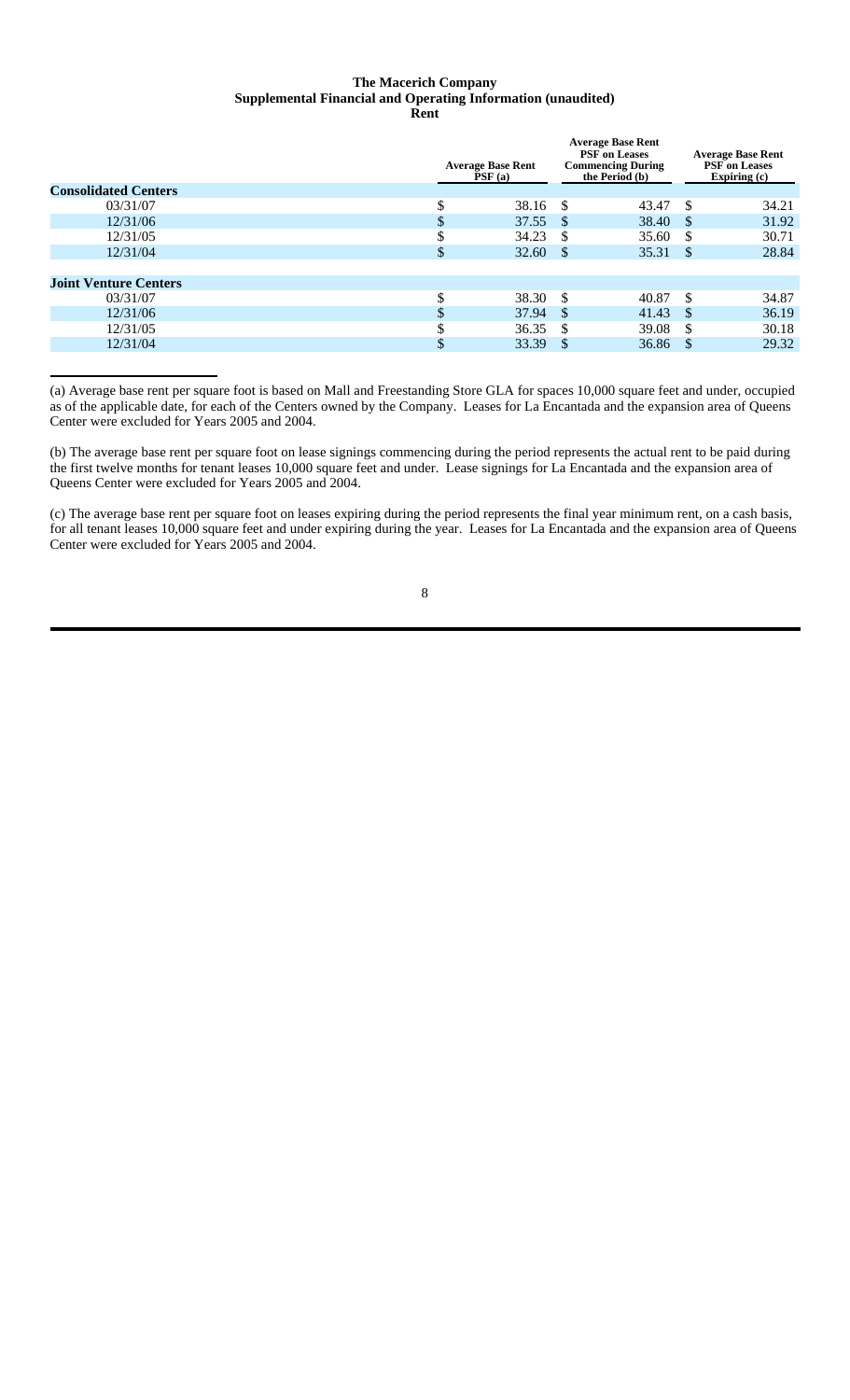#### **The Macerich Company Supplemental Financial and Operating Information (unaudited) Rent**

| <b>Consolidated Centers</b>  |          | <b>Average Base Rent</b><br>PSF(a) | <b>Average Base Rent</b><br><b>PSF</b> on Leases<br><b>Commencing During</b><br>the Period (b) |               | <b>Average Base Rent</b><br><b>PSF</b> on Leases<br>Expiring $(c)$ |
|------------------------------|----------|------------------------------------|------------------------------------------------------------------------------------------------|---------------|--------------------------------------------------------------------|
|                              |          |                                    |                                                                                                |               |                                                                    |
| 03/31/07                     | J.       | 38.16                              | <sup>\$</sup><br>43.47                                                                         | \$            | 34.21                                                              |
| 12/31/06                     | ъĐ       | 37.55                              | 38.40<br>-S                                                                                    | -S            | 31.92                                                              |
| 12/31/05                     | ۰Π       | 34.23                              | <sup>\$</sup><br>35.60                                                                         | \$.           | 30.71                                                              |
| 12/31/04                     | Эħ.      | 32.60                              | 35.31<br><sup>\$</sup>                                                                         | -\$           | 28.84                                                              |
|                              |          |                                    |                                                                                                |               |                                                                    |
| <b>Joint Venture Centers</b> |          |                                    |                                                                                                |               |                                                                    |
| 03/31/07                     | Φ<br>۰ħ۰ | 38.30                              | -S<br>40.87                                                                                    | -S            | 34.87                                                              |
| 12/31/06                     |          | 37.94                              | <sup>\$</sup><br>41.43                                                                         | -\$           | 36.19                                                              |
| 12/31/05                     | ۰Π       | 36.35                              | <sup>\$</sup><br>39.08                                                                         | <sup>\$</sup> | 30.18                                                              |
| 12/31/04                     |          | 33.39                              | <sup>\$</sup><br>36.86                                                                         | -\$           | 29.32                                                              |
|                              |          |                                    |                                                                                                |               |                                                                    |

(a) Average base rent per square foot is based on Mall and Freestanding Store GLA for spaces 10,000 square feet and under, occupied as of the applicable date, for each of the Centers owned by the Company. Leases for La Encantada and the expansion area of Queens Center were excluded for Years 2005 and 2004.

(b) The average base rent per square foot on lease signings commencing during the period represents the actual rent to be paid during the first twelve months for tenant leases 10,000 square feet and under. Lease signings for La Encantada and the expansion area of Queens Center were excluded for Years 2005 and 2004.

(c) The average base rent per square foot on leases expiring during the period represents the final year minimum rent, on a cash basis, for all tenant leases 10,000 square feet and under expiring during the year. Leases for La Encantada and the expansion area of Queens Center were excluded for Years 2005 and 2004.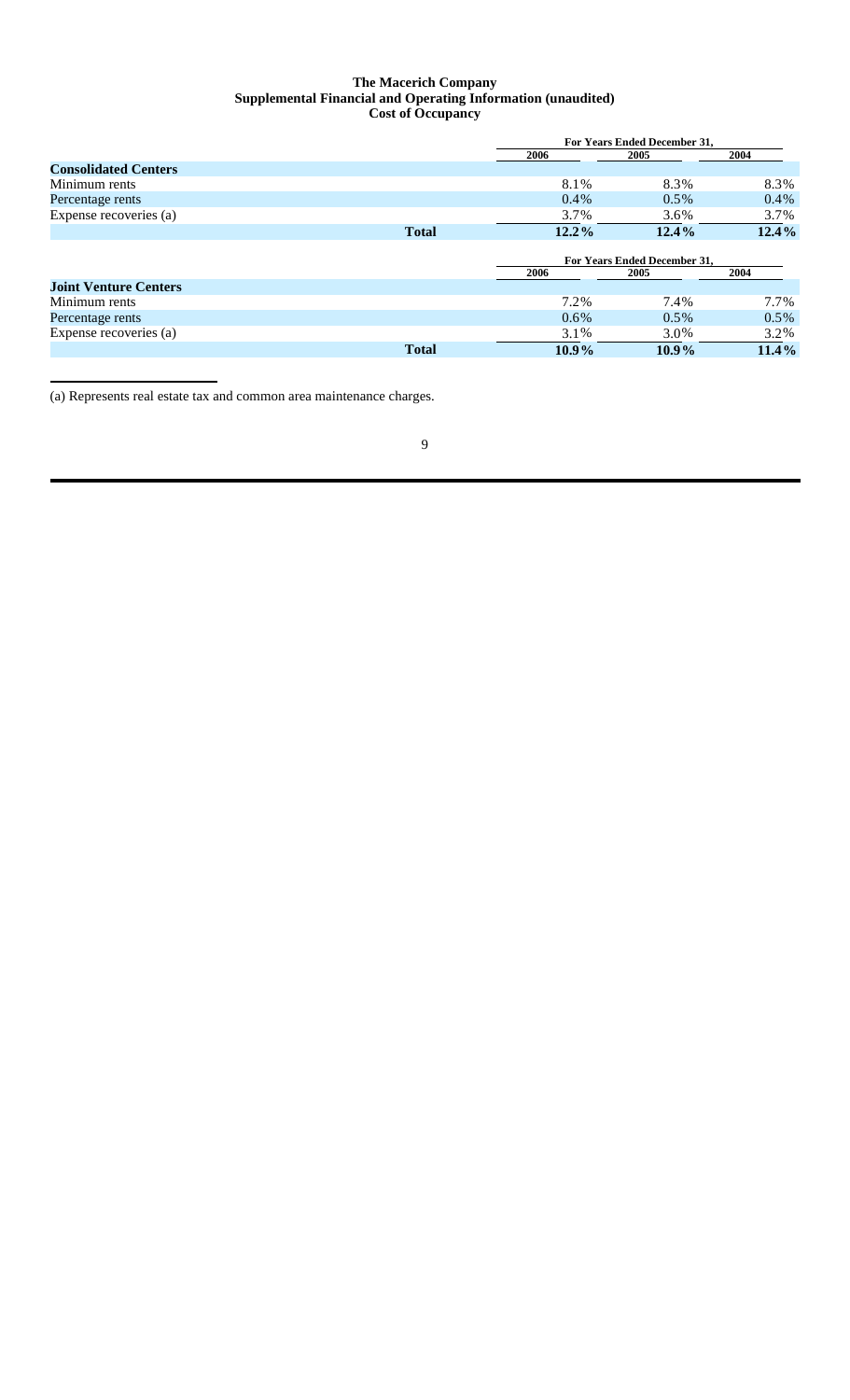### **The Macerich Company Supplemental Financial and Operating Information (unaudited) Cost of Occupancy**

|                              | <b>For Years Ended December 31.</b> |                              |         |  |  |
|------------------------------|-------------------------------------|------------------------------|---------|--|--|
|                              | 2006                                | 2005                         | 2004    |  |  |
| <b>Consolidated Centers</b>  |                                     |                              |         |  |  |
| Minimum rents                | 8.1%                                | 8.3%                         | 8.3%    |  |  |
| Percentage rents             | $0.4\%$                             | $0.5\%$                      | $0.4\%$ |  |  |
| Expense recoveries (a)       | 3.7%                                | 3.6%                         | 3.7%    |  |  |
| <b>Total</b>                 | $12.2\%$                            | $12.4\%$                     | 12.4%   |  |  |
|                              |                                     |                              |         |  |  |
|                              |                                     | For Years Ended December 31, |         |  |  |
|                              | 2006                                | 2005                         | 2004    |  |  |
| <b>Joint Venture Centers</b> |                                     |                              |         |  |  |
| Minimum rents                | 7.2%                                | 7.4%                         | 7.7%    |  |  |
| Percentage rents             | $0.6\%$                             | $0.5\%$                      | $0.5\%$ |  |  |
| Expense recoveries (a)       | 3.1%                                | 3.0%                         | 3.2%    |  |  |
| <b>Total</b>                 | $10.9\%$                            | $10.9\%$                     | 11.4%   |  |  |

(a) Represents real estate tax and common area maintenance charges.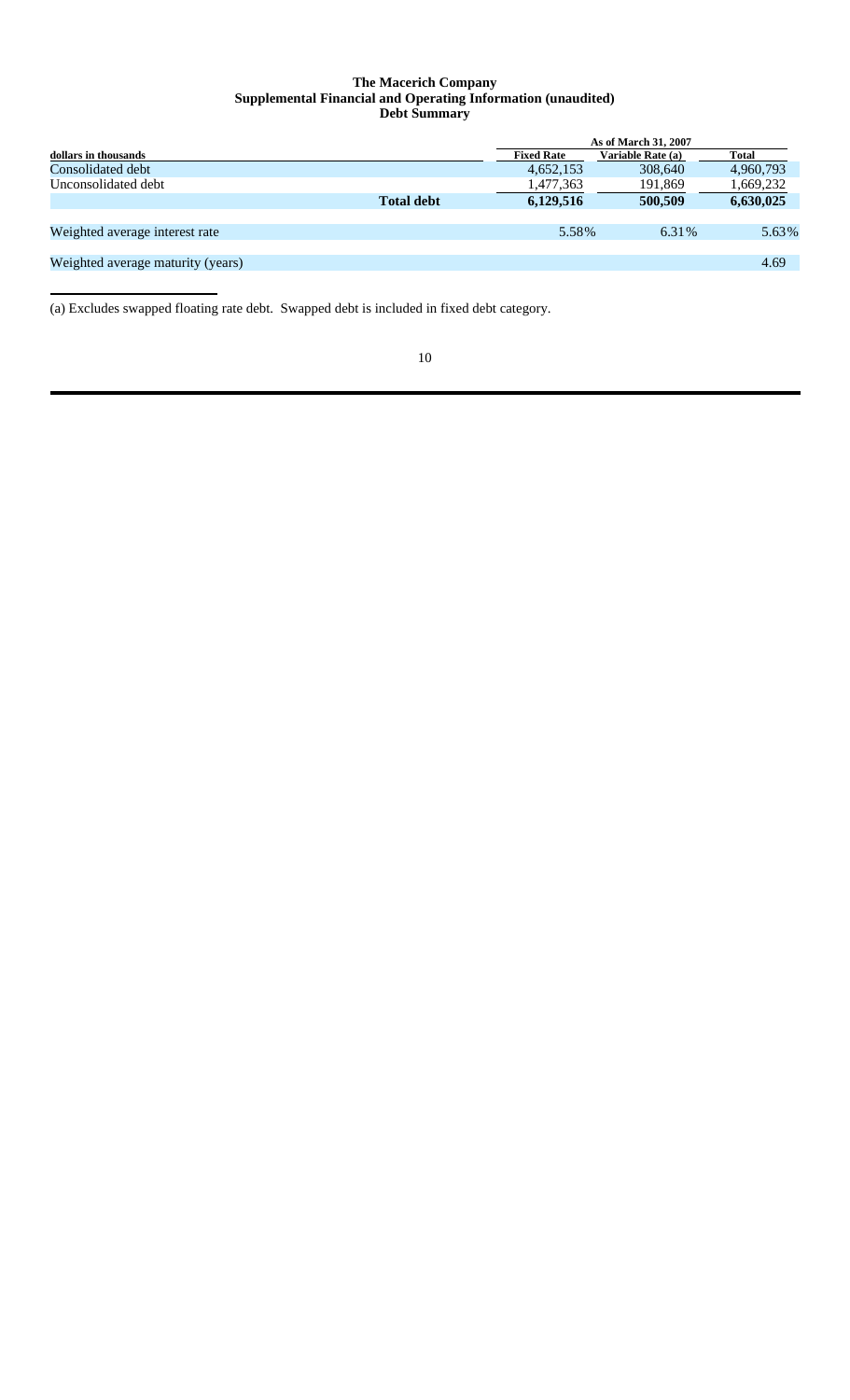## **The Macerich Company Supplemental Financial and Operating Information (unaudited) Debt Summary**

|                                   |                   | As of March 31, 2007 |                   |           |  |  |
|-----------------------------------|-------------------|----------------------|-------------------|-----------|--|--|
| dollars in thousands              |                   | <b>Fixed Rate</b>    | Variable Rate (a) | Total     |  |  |
| Consolidated debt                 |                   | 4,652,153            | 308,640           | 4,960,793 |  |  |
| Unconsolidated debt               |                   | 1,477,363            | 191,869           | 1,669,232 |  |  |
|                                   | <b>Total debt</b> | 6,129,516            | 500,509           | 6,630,025 |  |  |
|                                   |                   |                      |                   |           |  |  |
| Weighted average interest rate    |                   | 5.58%                | 6.31%             | 5.63%     |  |  |
|                                   |                   |                      |                   |           |  |  |
| Weighted average maturity (years) |                   |                      |                   | 4.69      |  |  |
|                                   |                   |                      |                   |           |  |  |

(a) Excludes swapped floating rate debt. Swapped debt is included in fixed debt category.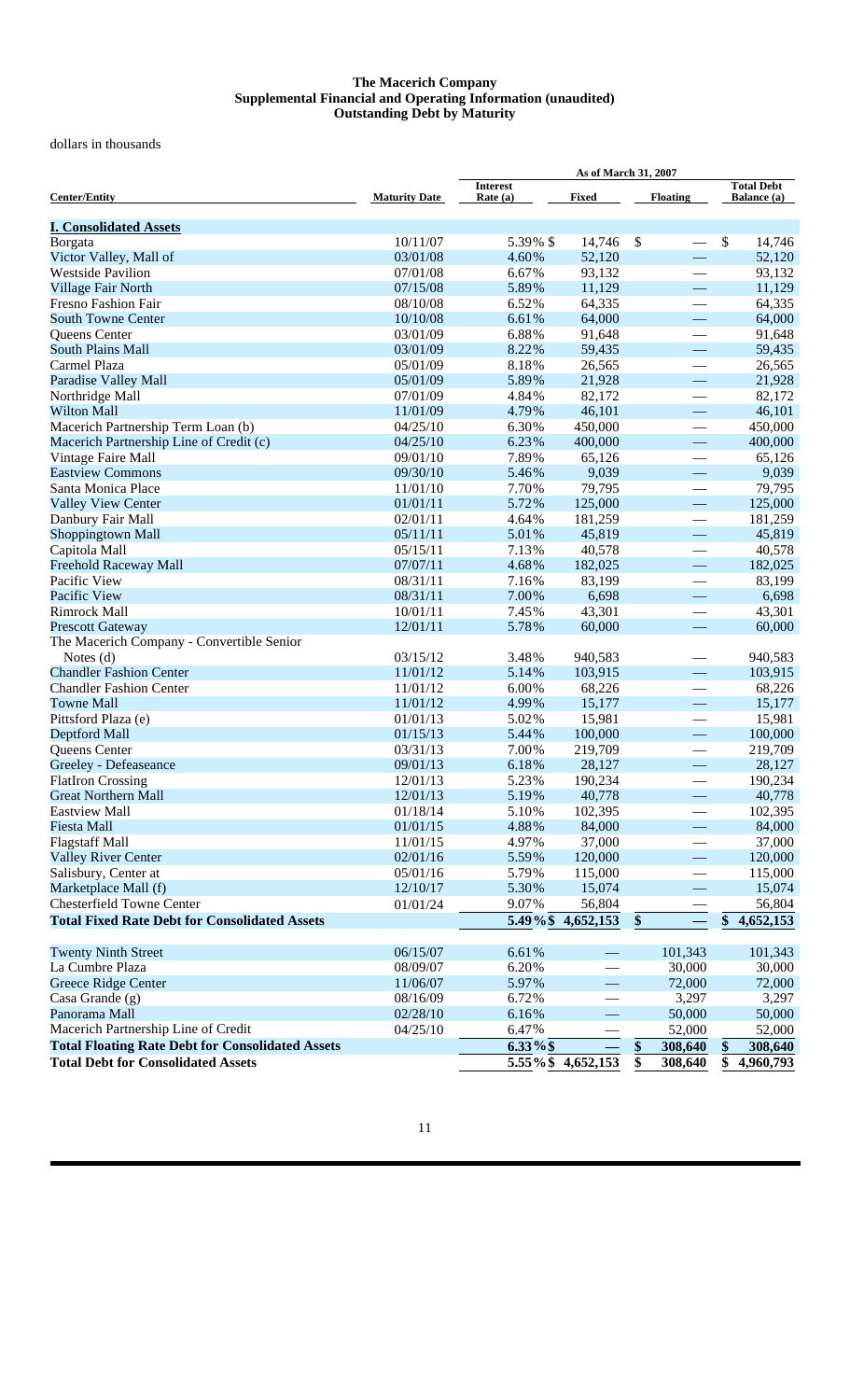#### **The Macerich Company Supplemental Financial and Operating Information (unaudited) Outstanding Debt by Maturity**

dollars in thousands

|                                                         |                      | As of March 31, 2007        |                                |                 |                          |                                         |
|---------------------------------------------------------|----------------------|-----------------------------|--------------------------------|-----------------|--------------------------|-----------------------------------------|
| <b>Center/Entity</b>                                    | <b>Maturity Date</b> | <b>Interest</b><br>Rate (a) | <b>Fixed</b>                   | <b>Floating</b> |                          | <b>Total Debt</b><br><b>Balance</b> (a) |
| <b>I. Consolidated Assets</b>                           |                      |                             |                                |                 |                          |                                         |
| Borgata                                                 | 10/11/07             | 5.39% \$                    | 14,746                         | $\mathcal{S}$   |                          | \$<br>14,746                            |
| Victor Valley, Mall of                                  | 03/01/08             | 4.60%                       | 52,120                         |                 | $\overline{\phantom{0}}$ | 52,120                                  |
| <b>Westside Pavilion</b>                                | 07/01/08             | 6.67%                       | 93,132                         |                 | $\qquad \qquad$          | 93,132                                  |
| Village Fair North                                      | 07/15/08             | 5.89%                       | 11,129                         |                 | $\overline{\phantom{0}}$ | 11,129                                  |
| Fresno Fashion Fair                                     | 08/10/08             | 6.52%                       | 64,335                         |                 | $\overline{\phantom{0}}$ | 64,335                                  |
| <b>South Towne Center</b>                               | 10/10/08             | 6.61%                       | 64,000                         |                 | $\qquad \qquad$          | 64,000                                  |
| Queens Center                                           | 03/01/09             | 6.88%                       | 91,648                         |                 | $\overline{\phantom{0}}$ | 91,648                                  |
| <b>South Plains Mall</b>                                | 03/01/09             | 8.22%                       | 59,435                         |                 | $\overline{\phantom{0}}$ | 59,435                                  |
| Carmel Plaza                                            | 05/01/09             | 8.18%                       | 26,565                         |                 | $\overline{\phantom{0}}$ | 26,565                                  |
| Paradise Valley Mall                                    | 05/01/09             | 5.89%                       | 21,928                         |                 | $\qquad \qquad$          | 21,928                                  |
| Northridge Mall                                         | 07/01/09             | 4.84%                       | 82,172                         |                 |                          | 82,172                                  |
| <b>Wilton Mall</b>                                      | 11/01/09             | 4.79%                       | 46,101                         |                 |                          | 46,101                                  |
| Macerich Partnership Term Loan (b)                      | 04/25/10             | 6.30%                       | 450,000                        |                 |                          | 450,000                                 |
| Macerich Partnership Line of Credit (c)                 | 04/25/10             | 6.23%                       | 400,000                        |                 | $\overline{\phantom{0}}$ | 400,000                                 |
| Vintage Faire Mall                                      | 09/01/10             | 7.89%                       | 65,126                         |                 | $\overline{\phantom{0}}$ | 65,126                                  |
| <b>Eastview Commons</b>                                 | 09/30/10             | 5.46%                       | 9,039                          |                 | $\qquad \qquad$          | 9,039                                   |
| Santa Monica Place                                      | 11/01/10             | 7.70%                       | 79,795                         |                 |                          | 79,795                                  |
| <b>Valley View Center</b>                               | 01/01/11             | 5.72%                       | 125,000                        |                 |                          | 125,000                                 |
| Danbury Fair Mall                                       | 02/01/11             | 4.64%                       | 181,259                        |                 | $\overline{\phantom{0}}$ | 181,259                                 |
| Shoppingtown Mall                                       | 05/11/11             | 5.01%                       | 45,819                         |                 | $\overline{\phantom{m}}$ | 45,819                                  |
| Capitola Mall                                           | 05/15/11             | 7.13%                       | 40,578                         |                 |                          | 40,578                                  |
| Freehold Raceway Mall                                   | 07/07/11             | 4.68%                       | 182,025                        |                 | $\overline{\phantom{0}}$ | 182,025                                 |
| Pacific View                                            | 08/31/11             | 7.16%                       | 83,199                         |                 |                          | 83,199                                  |
| Pacific View                                            | 08/31/11             | 7.00%                       | 6,698                          |                 | $\overline{\phantom{0}}$ | 6,698                                   |
| Rimrock Mall                                            | 10/01/11             | 7.45%                       | 43,301                         |                 | $\overline{\phantom{0}}$ | 43,301                                  |
| <b>Prescott Gateway</b>                                 | 12/01/11             | 5.78%                       | 60,000                         |                 | $\qquad \qquad \qquad -$ | 60,000                                  |
| The Macerich Company - Convertible Senior               |                      |                             |                                |                 |                          |                                         |
| Notes $(d)$                                             | 03/15/12             | 3.48%                       | 940,583                        |                 |                          | 940,583                                 |
| <b>Chandler Fashion Center</b>                          | 11/01/12             | 5.14%                       | 103,915                        |                 | $\qquad \qquad$          | 103,915                                 |
| <b>Chandler Fashion Center</b>                          | 11/01/12             | 6.00%                       | 68,226                         |                 | $\overline{\phantom{0}}$ | 68,226                                  |
| <b>Towne Mall</b>                                       | 11/01/12             | 4.99%                       | 15,177                         |                 | $\overline{\phantom{m}}$ | 15,177                                  |
| Pittsford Plaza (e)                                     | 01/01/13             | 5.02%                       | 15,981                         |                 | $\overline{\phantom{0}}$ | 15,981                                  |
| Deptford Mall                                           | 01/15/13             | 5.44%                       | 100,000                        |                 | $\overline{\phantom{m}}$ | 100,000                                 |
| Queens Center                                           | 03/31/13             | 7.00%                       | 219,709                        |                 |                          | 219,709                                 |
| Greeley - Defeaseance                                   | 09/01/13             | 6.18%                       | 28,127                         |                 | $\overline{\phantom{0}}$ | 28,127                                  |
| <b>FlatIron Crossing</b>                                | 12/01/13             | 5.23%                       | 190,234                        |                 |                          | 190,234                                 |
| <b>Great Northern Mall</b>                              | 12/01/13             | 5.19%                       | 40,778                         |                 |                          | 40,778                                  |
| <b>Eastview Mall</b>                                    | 01/18/14             | 5.10%                       | 102,395                        |                 |                          | 102,395                                 |
| <b>Fiesta Mall</b>                                      | 01/01/15             | 4.88%                       | 84,000                         |                 |                          | 84,000                                  |
| <b>Flagstaff Mall</b>                                   | 11/01/15             | 4.97%                       | 37,000                         |                 |                          | 37,000                                  |
| <b>Valley River Center</b>                              | 02/01/16             | 5.59%                       | 120,000                        |                 | $\overline{\phantom{0}}$ | 120,000                                 |
| Salisbury, Center at                                    | 05/01/16             | 5.79%                       | 115,000                        |                 | $\qquad \qquad$          | 115,000                                 |
| Marketplace Mall (f)                                    | 12/10/17             | 5.30%                       | 15,074                         |                 | $\overline{\phantom{0}}$ | 15,074                                  |
| <b>Chesterfield Towne Center</b>                        | 01/01/24             | 9.07%                       | 56,804                         |                 |                          | 56,804                                  |
| <b>Total Fixed Rate Debt for Consolidated Assets</b>    |                      |                             | 5.49%\$4,652,153               | \$              |                          | $\overline{4,652,153}$<br>\$            |
|                                                         |                      |                             |                                |                 |                          |                                         |
| <b>Twenty Ninth Street</b>                              | 06/15/07             | 6.61%                       |                                | 101,343         |                          | 101,343                                 |
| La Cumbre Plaza                                         | 08/09/07             | 6.20%                       |                                | 30,000          |                          | 30,000                                  |
| Greece Ridge Center                                     | 11/06/07             | 5.97%                       | $\overline{\phantom{0}}$       | 72,000          |                          | 72,000                                  |
| Casa Grande (g)                                         | 08/16/09             | 6.72%                       |                                | 3,297           |                          | 3,297                                   |
| Panorama Mall                                           | 02/28/10             | 6.16%                       | $\qquad \qquad \longleftarrow$ | 50,000          |                          | 50,000                                  |
| Macerich Partnership Line of Credit                     | 04/25/10             | 6.47%                       |                                | 52,000          |                          | 52,000                                  |
| <b>Total Floating Rate Debt for Consolidated Assets</b> |                      | $6.33\%$ \$                 |                                | \$<br>308,640   |                          | 308,640<br>\$                           |
| <b>Total Debt for Consolidated Assets</b>               |                      |                             | 5.55%\$ 4,652,153              | \$<br>308,640   |                          | \$<br>4,960,793                         |
|                                                         |                      |                             |                                |                 |                          |                                         |